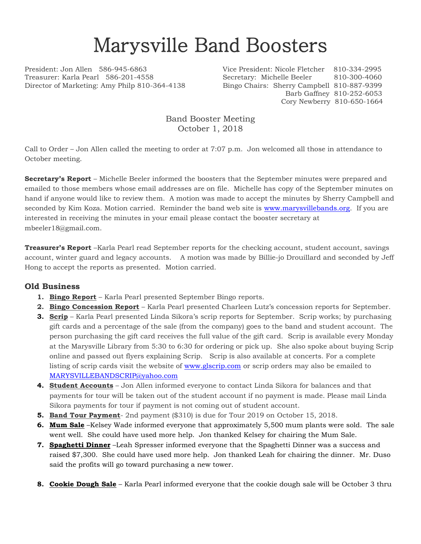## Marysville Band Boosters

Treasurer: Karla Pearl 586-201-4558 Secretary: Michelle Beeler 810-300-4060 Director of Marketing: Amy Philp 810-364-4138 Bingo Chairs: Sherry Campbell 810-887-9399

President: Jon Allen 586-945-6863 Vice President: Nicole Fletcher 810-334-2995 Barb Gaffney 810-252-6053 Cory Newberry 810-650-1664

> Band Booster Meeting October 1, 2018

Call to Order – Jon Allen called the meeting to order at 7:07 p.m. Jon welcomed all those in attendance to October meeting.

**Secretary's Report** – Michelle Beeler informed the boosters that the September minutes were prepared and emailed to those members whose email addresses are on file. Michelle has copy of the September minutes on hand if anyone would like to review them. A motion was made to accept the minutes by Sherry Campbell and seconded by Kim Koza. Motion carried. Reminder the band web site is [www.marysvillebands.org.](http://www.marysvillebands.org/) If you are interested in receiving the minutes in your email please contact the booster secretary at mbeeler18@gmail.com.

**Treasurer's Report** –Karla Pearl read September reports for the checking account, student account, savings account, winter guard and legacy accounts. A motion was made by Billie-jo Drouillard and seconded by Jeff Hong to accept the reports as presented. Motion carried.

## **Old Business**

- **1. Bingo Report** Karla Pearl presented September Bingo reports.
- **2. Bingo Concession Report** Karla Pearl presented Charleen Lutz's concession reports for September.
- **3. Scrip** Karla Pearl presented Linda Sikora's scrip reports for September. Scrip works; by purchasing gift cards and a percentage of the sale (from the company) goes to the band and student account. The person purchasing the gift card receives the full value of the gift card. Scrip is available every Monday at the Marysville Library from 5:30 to 6:30 for ordering or pick up. She also spoke about buying Scrip online and passed out flyers explaining Scrip. Scrip is also available at concerts. For a complete listing of scrip cards visit the website of [www.glscrip.com](http://www.glscrip.com/) or scrip orders may also be emailed to [MARYSVILLEBANDSCRIP@yahoo.com](mailto:MARYSVILLEBANDSCRIP@yahoo.com)
- **4. Student Accounts** Jon Allen informed everyone to contact Linda Sikora for balances and that payments for tour will be taken out of the student account if no payment is made. Please mail Linda Sikora payments for tour if payment is not coming out of student account.
- **5. Band Tour Payment** 2nd payment (\$310) is due for Tour 2019 on October 15, 2018.
- **6. Mum Sale** –Kelsey Wade informed everyone that approximately 5,500 mum plants were sold. The sale went well. She could have used more help. Jon thanked Kelsey for chairing the Mum Sale.
- **7. Spaghetti Dinner** –Leah Spresser informed everyone that the Spaghetti Dinner was a success and raised \$7,300. She could have used more help. Jon thanked Leah for chairing the dinner. Mr. Duso said the profits will go toward purchasing a new tower.
- **8. Cookie Dough Sale** Karla Pearl informed everyone that the cookie dough sale will be October 3 thru